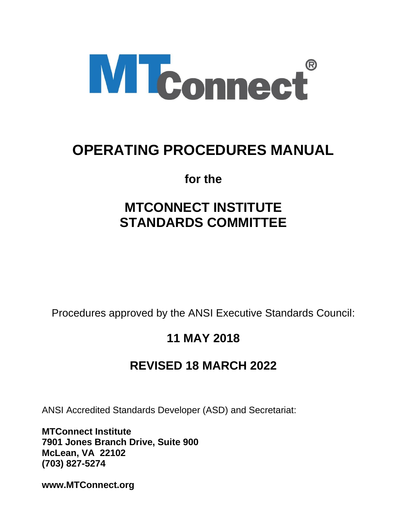

# **OPERATING PROCEDURES MANUAL**

**for the**

# **MTCONNECT INSTITUTE STANDARDS COMMITTEE**

Procedures approved by the ANSI Executive Standards Council:

## **11 MAY 2018**

## **REVISED 18 MARCH 2022**

ANSI Accredited Standards Developer (ASD) and Secretariat:

**MTConnect Institute 7901 Jones Branch Drive, Suite 900 McLean, VA 22102 (703) 827-5274**

**www.MTConnect.org**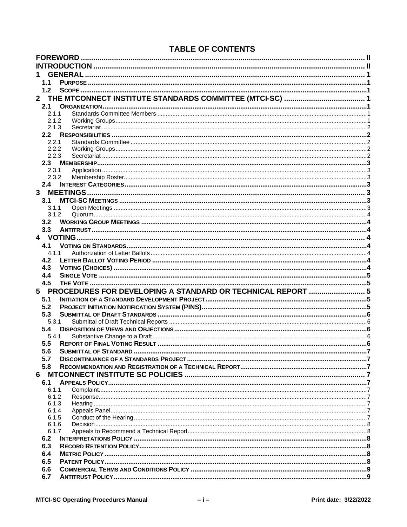## **TABLE OF CONTENTS**

|              | <b>FOREWORD</b>  |       |                                                             |  |
|--------------|------------------|-------|-------------------------------------------------------------|--|
|              |                  |       |                                                             |  |
|              |                  |       | <b>GENERAL</b>                                              |  |
|              | 1.1              |       |                                                             |  |
|              | 1.2              |       |                                                             |  |
| $\mathbf{2}$ |                  |       |                                                             |  |
|              | 2.1              |       |                                                             |  |
|              |                  | 2.1.1 |                                                             |  |
|              |                  | 2.1.2 |                                                             |  |
|              |                  | 2.1.3 |                                                             |  |
|              | 2.2 <sub>2</sub> |       |                                                             |  |
|              |                  | 2.2.1 |                                                             |  |
|              |                  | 2.2.2 |                                                             |  |
|              |                  | 2.2.3 |                                                             |  |
|              | 2.3              |       |                                                             |  |
|              |                  | 2.3.1 |                                                             |  |
|              |                  | 2.3.2 |                                                             |  |
|              | 2.4              |       |                                                             |  |
| 3            |                  |       |                                                             |  |
|              | 3.1              |       |                                                             |  |
|              |                  | 3.1.1 |                                                             |  |
|              |                  | 3.1.2 |                                                             |  |
|              | 3.2              |       |                                                             |  |
|              | 3.3              |       |                                                             |  |
|              |                  |       |                                                             |  |
|              | 4.1              |       |                                                             |  |
|              |                  | 4.1.1 |                                                             |  |
|              | 4.2              |       |                                                             |  |
|              | 4.3              |       |                                                             |  |
|              | 4.4              |       |                                                             |  |
|              | 4.5              |       |                                                             |  |
| 5.           |                  |       | PROCEDURES FOR DEVELOPING A STANDARD OR TECHNICAL REPORT  5 |  |
|              | 5.1              |       |                                                             |  |
|              | 5.2              |       |                                                             |  |
|              | 5.3              |       |                                                             |  |
|              |                  | 5.3.1 |                                                             |  |
|              | 5.4              |       |                                                             |  |
|              |                  | 5.4.1 |                                                             |  |
|              | 5.5              |       |                                                             |  |
|              | 5.6              |       |                                                             |  |
|              | 5.7              |       |                                                             |  |
|              | 5.8              |       |                                                             |  |
| 6            |                  |       |                                                             |  |
|              | 6.1              |       |                                                             |  |
|              |                  | 6.1.1 |                                                             |  |
|              |                  | 6.1.2 |                                                             |  |
|              |                  | 6.1.3 |                                                             |  |
|              |                  | 6.1.4 |                                                             |  |
|              |                  | 6.1.5 |                                                             |  |
|              |                  | 6.1.6 |                                                             |  |
|              |                  | 6.1.7 |                                                             |  |
|              | 6.2              |       |                                                             |  |
|              | 6.3              |       |                                                             |  |
|              | 6.4              |       |                                                             |  |
|              | 6.5              |       |                                                             |  |
|              | 6.6              |       |                                                             |  |
|              | 6.7              |       |                                                             |  |
|              |                  |       |                                                             |  |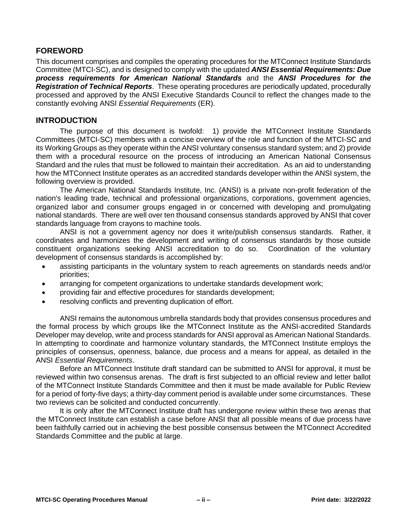## <span id="page-3-0"></span>**FOREWORD**

This document comprises and compiles the operating procedures for the MTConnect Institute Standards Committee (MTCI-SC), and is designed to comply with the updated *ANSI Essential Requirements: Due process requirements for American National Standards* and the *ANSI Procedures for the Registration of Technical Reports*. These operating procedures are periodically updated, procedurally processed and approved by the ANSI Executive Standards Council to reflect the changes made to the constantly evolving ANSI *Essential Requirements* (ER).

## <span id="page-3-1"></span>**INTRODUCTION**

The purpose of this document is twofold: 1) provide the MTConnect Institute Standards Committees (MTCI-SC) members with a concise overview of the role and function of the MTCI-SC and its Working Groups as they operate within the ANSI voluntary consensus standard system; and 2) provide them with a procedural resource on the process of introducing an American National Consensus Standard and the rules that must be followed to maintain their accreditation. As an aid to understanding how the MTConnect Institute operates as an accredited standards developer within the ANSI system, the following overview is provided.

The American National Standards Institute, Inc. (ANSI) is a private non-profit federation of the nation's leading trade, technical and professional organizations, corporations, government agencies, organized labor and consumer groups engaged in or concerned with developing and promulgating national standards. There are well over ten thousand consensus standards approved by ANSI that cover standards language from crayons to machine tools.

ANSI is not a government agency nor does it write/publish consensus standards. Rather, it coordinates and harmonizes the development and writing of consensus standards by those outside constituent organizations seeking ANSI accreditation to do so. Coordination of the voluntary development of consensus standards is accomplished by:

- assisting participants in the voluntary system to reach agreements on standards needs and/or priorities;
- arranging for competent organizations to undertake standards development work;
- providing fair and effective procedures for standards development;
- resolving conflicts and preventing duplication of effort.

ANSI remains the autonomous umbrella standards body that provides consensus procedures and the formal process by which groups like the MTConnect Institute as the ANSI-accredited Standards Developer may develop, write and process standards for ANSI approval as American National Standards. In attempting to coordinate and harmonize voluntary standards, the MTConnect Institute employs the principles of consensus, openness, balance, due process and a means for appeal, as detailed in the ANSI *Essential Requirements*.

Before an MTConnect Institute draft standard can be submitted to ANSI for approval, it must be reviewed within two consensus arenas. The draft is first subjected to an official review and letter ballot of the MTConnect Institute Standards Committee and then it must be made available for Public Review for a period of forty-five days; a thirty-day comment period is available under some circumstances. These two reviews can be solicited and conducted concurrently.

It is only after the MTConnect Institute draft has undergone review within these two arenas that the MTConnect Institute can establish a case before ANSI that all possible means of due process have been faithfully carried out in achieving the best possible consensus between the MTConnect Accredited Standards Committee and the public at large.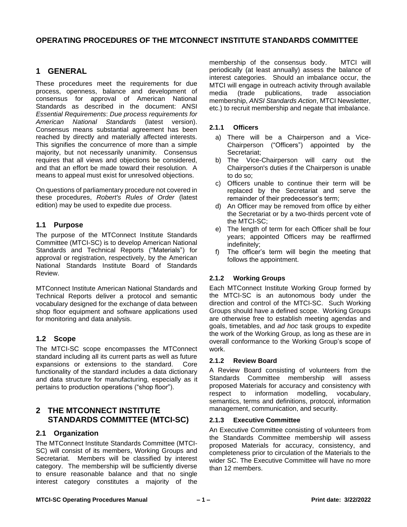## **OPERATING PROCEDURES OF THE MTCONNECT INSTITUTE STANDARDS COMMITTEE**

## <span id="page-4-0"></span>**1 GENERAL**

These procedures meet the requirements for due process, openness, balance and development of consensus for approval of American National Standards as described in the document: ANSI *Essential Requirements*: *Due process requirements for American National Standards* (latest version). Consensus means substantial agreement has been reached by directly and materially affected interests. This signifies the concurrence of more than a simple majority, but not necessarily unanimity. Consensus requires that all views and objections be considered, and that an effort be made toward their resolution. A means to appeal must exist for unresolved objections.

On questions of parliamentary procedure not covered in these procedures, *Robert's Rules of Order* (latest edition) may be used to expedite due process.

## <span id="page-4-1"></span>**1.1 Purpose**

The purpose of the MTConnect Institute Standards Committee (MTCI-SC) is to develop American National Standards and Technical Reports ("Materials") for approval or registration, respectively, by the American National Standards Institute Board of Standards Review.

MTConnect Institute American National Standards and Technical Reports deliver a protocol and semantic vocabulary designed for the exchange of data between shop floor equipment and software applications used for monitoring and data analysis.

## <span id="page-4-2"></span>**1.2 Scope**

The MTCI-SC scope encompasses the MTConnect standard including all its current parts as well as future expansions or extensions to the standard. Core functionality of the standard includes a data dictionary and data structure for manufacturing, especially as it pertains to production operations ("shop floor").

## <span id="page-4-3"></span>**2 THE MTCONNECT INSTITUTE STANDARDS COMMITTEE (MTCI-SC)**

#### <span id="page-4-4"></span>**2.1 Organization**

The MTConnect Institute Standards Committee (MTCI-SC) will consist of its members, Working Groups and Secretariat. Members will be classified by interest category. The membership will be sufficiently diverse to ensure reasonable balance and that no single interest category constitutes a majority of the

membership of the consensus body. MTCI will periodically (at least annually) assess the balance of interest categories. Should an imbalance occur, the MTCI will engage in outreach activity through available media (trade publications, trade association membership, *ANSI Standards Action*, MTCI Newsletter, etc.) to recruit membership and negate that imbalance.

#### <span id="page-4-5"></span>**2.1.1 Officers**

- a) There will be a Chairperson and a Vice-Chairperson ("Officers") appointed by the Secretariat;
- b) The Vice-Chairperson will carry out the Chairperson's duties if the Chairperson is unable to do so;
- c) Officers unable to continue their term will be replaced by the Secretariat and serve the remainder of their predecessor's term;
- d) An Officer may be removed from office by either the Secretariat or by a two-thirds percent vote of the MTCI-SC;
- e) The length of term for each Officer shall be four years; appointed Officers may be reaffirmed indefinitely;
- f) The officer's term will begin the meeting that follows the appointment.

#### <span id="page-4-6"></span>**2.1.2 Working Groups**

Each MTConnect Institute Working Group formed by the MTCI-SC is an autonomous body under the direction and control of the MTCI-SC. Such Working Groups should have a defined scope. Working Groups are otherwise free to establish meeting agendas and goals, timetables, and *ad hoc* task groups to expedite the work of the Working Group, as long as these are in overall conformance to the Working Group's scope of work.

#### **2.1.2 Review Board**

A Review Board consisting of volunteers from the Standards Committee membership will assess proposed Materials for accuracy and consistency with respect to information modelling, vocabulary, semantics, terms and definitions, protocol, information management, communication, and security.

#### **2.1.3 Executive Committee**

An Executive Committee consisting of volunteers from the Standards Committee membership will assess proposed Materials for accuracy, consistency, and completeness prior to circulation of the Materials to the wider SC. The Executive Committee will have no more than 12 members.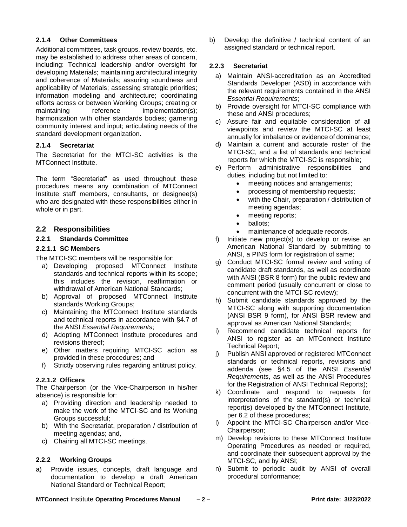#### **2.1.4 Other Committees**

Additional committees, task groups, review boards, etc. may be established to address other areas of concern, including: Technical leadership and/or oversight for developing Materials; maintaining architectural integrity and coherence of Materials; assuring soundness and applicability of Materials; assessing strategic priorities; information modeling and architecture; coordinating efforts across or between Working Groups; creating or maintaining reference implementation(s); harmonization with other standards bodies; garnering community interest and input; articulating needs of the standard development organization.

#### <span id="page-5-0"></span>**2.1.4 Secretariat**

The Secretariat for the MTCI-SC activities is the MTConnect Institute.

The term "Secretariat" as used throughout these procedures means any combination of MTConnect Institute staff members, consultants, or designee(s) who are designated with these responsibilities either in whole or in part.

#### <span id="page-5-1"></span>**2.2 Responsibilities**

#### <span id="page-5-2"></span>**2.2.1 Standards Committee**

#### **2.2.1.1 SC Members**

The MTCI-SC members will be responsible for:

- a) Developing proposed MTConnect Institute standards and technical reports within its scope; this includes the revision, reaffirmation or withdrawal of American National Standards;
- b) Approval of proposed MTConnect Institute standards Working Groups;
- c) Maintaining the MTConnect Institute standards and technical reports in accordance with §4.7 of the ANSI *Essential Requirements*;
- d) Adopting MTConnect Institute procedures and revisions thereof;
- e) Other matters requiring MTCI-SC action as provided in these procedures; and
- f) Strictly observing rules regarding antitrust policy.

#### **2.2.1.2 Officers**

The Chairperson (or the Vice-Chairperson in his/her absence) is responsible for:

- a) Providing direction and leadership needed to make the work of the MTCI-SC and its Working Groups successful;
- b) With the Secretariat, preparation / distribution of meeting agendas; and,
- c) Chairing all MTCI-SC meetings.

#### <span id="page-5-3"></span>**2.2.2 Working Groups**

a) Provide issues, concepts, draft language and documentation to develop a draft American National Standard or Technical Report;

b) Develop the definitive / technical content of an assigned standard or technical report.

#### <span id="page-5-4"></span>**2.2.3 Secretariat**

- a) Maintain ANSI-accreditation as an Accredited Standards Developer (ASD) in accordance with the relevant requirements contained in the ANSI *Essential Requirements*;
- b) Provide oversight for MTCI-SC compliance with these and ANSI procedures;
- c) Assure fair and equitable consideration of all viewpoints and review the MTCI-SC at least annually for imbalance or evidence of dominance;
- d) Maintain a current and accurate roster of the MTCI-SC, and a list of standards and technical reports for which the MTCI-SC is responsible;
- e) Perform administrative responsibilities and duties, including but not limited to:
	- meeting notices and arrangements;
	- processing of membership requests;
	- with the Chair, preparation / distribution of meeting agendas;
	- meeting reports;
	- ballots;
	- maintenance of adequate records.
- f) Initiate new project(s) to develop or revise an American National Standard by submitting to ANSI, a PINS form for registration of same;
- g) Conduct MTCI-SC formal review and voting of candidate draft standards, as well as coordinate with ANSI (BSR 8 form) for the public review and comment period (usually concurrent or close to concurrent with the MTCI-SC review);
- h) Submit candidate standards approved by the MTCI-SC along with supporting documentation (ANSI BSR 9 form), for ANSI BSR review and approval as American National Standards;
- i) Recommend candidate technical reports for ANSI to register as an MTConnect Institute Technical Report;
- j) Publish ANSI approved or registered MTConnect standards or technical reports, revisions and addenda (see §4.5 of the ANSI *Essential Requirements*, as well as the ANSI Procedures for the Registration of ANSI Technical Reports);
- k) Coordinate and respond to requests for interpretations of the standard(s) or technical report(s) developed by the MTConnect Institute, per 6.2 of these procedures;
- l) Appoint the MTCI-SC Chairperson and/or Vice-Chairperson;
- m) Develop revisions to these MTConnect Institute Operating Procedures as needed or required, and coordinate their subsequent approval by the MTCI-SC, and by ANSI;
- n) Submit to periodic audit by ANSI of overall procedural conformance;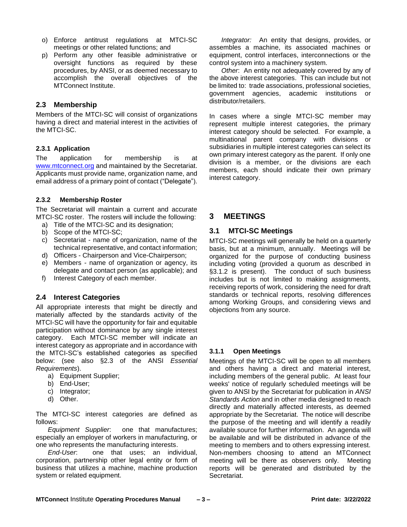- o) Enforce antitrust regulations at MTCI-SC meetings or other related functions; and
- p) Perform any other feasible administrative or oversight functions as required by these procedures, by ANSI, or as deemed necessary to accomplish the overall objectives of the MTConnect Institute.

#### <span id="page-6-0"></span>**2.3 Membership**

Members of the MTCI-SC will consist of organizations having a direct and material interest in the activities of the MTCI-SC.

#### <span id="page-6-1"></span>**2.3.1 Application**

The application for membership is at [www.mtconnect.org](http://www.mtconnect.org/) and maintained by the Secretariat. Applicants must provide name, organization name, and email address of a primary point of contact ("Delegate").

#### <span id="page-6-2"></span>**2.3.2 Membership Roster**

The Secretariat will maintain a current and accurate MTCI-SC roster. The rosters will include the following:

- a) Title of the MTCI-SC and its designation;
- b) Scope of the MTCI-SC;
- c) Secretariat name of organization, name of the technical representative, and contact information;
- d) Officers Chairperson and Vice-Chairperson;
- e) Members name of organization or agency, its delegate and contact person (as applicable); and
- f) Interest Category of each member.

#### <span id="page-6-3"></span>**2.4 Interest Categories**

All appropriate interests that might be directly and materially affected by the standards activity of the MTCI-SC will have the opportunity for fair and equitable participation without dominance by any single interest category. Each MTCI-SC member will indicate an interest category as appropriate and in accordance with the MTCI-SC's established categories as specified below: (see also §2.3 of the ANSI *Essential Requirements*).

- a) Equipment Supplier;
- b) End-User;
- c) Integrator;
- d) Other.

The MTCI-SC interest categories are defined as follows:

*Equipment Supplier*: one that manufactures; especially an employer of workers in manufacturing, or one who represents the manufacturing interests.

*End-User*: one that uses; an individual, corporation, partnership other legal entity or form of business that utilizes a machine, machine production system or related equipment.

*Integrator:* An entity that designs, provides, or assembles a machine, its associated machines or equipment, control interfaces, interconnections or the control system into a machinery system.

*Other*: An entity not adequately covered by any of the above interest categories. This can include but not be limited to: trade associations, professional societies, government agencies, academic institutions or distributor/retailers.

In cases where a single MTCI-SC member may represent multiple interest categories, the primary interest category should be selected. For example, a multinational parent company with divisions or subsidiaries in multiple interest categories can select its own primary interest category as the parent. If only one division is a member, or the divisions are each members, each should indicate their own primary interest category.

## <span id="page-6-4"></span>**3 MEETINGS**

#### <span id="page-6-5"></span>**3.1 MTCI-SC Meetings**

MTCI-SC meetings will generally be held on a quarterly basis, but at a minimum, annually. Meetings will be organized for the purpose of conducting business including voting (provided a quorum as described in §3.1.2 is present). The conduct of such business includes but is not limited to making assignments, receiving reports of work, considering the need for draft standards or technical reports, resolving differences among Working Groups, and considering views and objections from any source.

#### <span id="page-6-6"></span>**3.1.1 Open Meetings**

Meetings of the MTCI-SC will be open to all members and others having a direct and material interest, including members of the general public. At least four weeks' notice of regularly scheduled meetings will be given to ANSI by the Secretariat for publication in *ANSI Standards Action* and in other media designed to reach directly and materially affected interests, as deemed appropriate by the Secretariat. The notice will describe the purpose of the meeting and will identify a readily available source for further information. An agenda will be available and will be distributed in advance of the meeting to members and to others expressing interest. Non-members choosing to attend an MTConnect meeting will be there as observers only. Meeting reports will be generated and distributed by the Secretariat.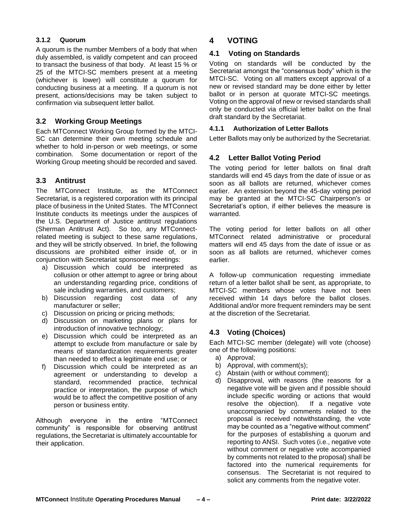#### <span id="page-7-0"></span>**3.1.2 Quorum**

A quorum is the number Members of a body that when duly assembled, is validly competent and can proceed to transact the business of that body. At least 15 % or 25 of the MTCI-SC members present at a meeting (whichever is lower) will constitute a quorum for conducting business at a meeting. If a quorum is not present, actions/decisions may be taken subject to confirmation via subsequent letter ballot.

## <span id="page-7-1"></span>**3.2 Working Group Meetings**

Each MTConnect Working Group formed by the MTCI-SC can determine their own meeting schedule and whether to hold in-person or web meetings, or some combination. Some documentation or report of the Working Group meeting should be recorded and saved.

## <span id="page-7-2"></span>**3.3 Antitrust**

The MTConnect Institute, as the MTConnect Secretariat, is a registered corporation with its principal place of business in the United States. The MTConnect Institute conducts its meetings under the auspices of the U.S. Department of Justice antitrust regulations (Sherman Antitrust Act). So too, any MTConnectrelated meeting is subject to these same regulations, and they will be strictly observed. In brief, the following discussions are prohibited either inside of, or in conjunction with Secretariat sponsored meetings:

- a) Discussion which could be interpreted as collusion or other attempt to agree or bring about an understanding regarding price, conditions of sale including warranties, and customers;
- b) Discussion regarding cost data of any manufacturer or seller;
- c) Discussion on pricing or pricing methods;
- d) Discussion on marketing plans or plans for introduction of innovative technology;
- e) Discussion which could be interpreted as an attempt to exclude from manufacture or sale by means of standardization requirements greater than needed to effect a legitimate end use; or
- f) Discussion which could be interpreted as an agreement or understanding to develop a standard, recommended practice, technical practice or interpretation, the purpose of which would be to affect the competitive position of any person or business entity.

Although everyone in the entire "MTConnect community" is responsible for observing antitrust regulations, the Secretariat is ultimately accountable for their application.

## <span id="page-7-3"></span>**4 VOTING**

#### <span id="page-7-4"></span>**4.1 Voting on Standards**

Voting on standards will be conducted by the Secretariat amongst the "consensus body" which is the MTCI-SC. Voting on all matters except approval of a new or revised standard may be done either by letter ballot or in person at quorate MTCI-SC meetings. Voting on the approval of new or revised standards shall only be conducted via official letter ballot on the final draft standard by the Secretariat.

#### <span id="page-7-5"></span>**4.1.1 Authorization of Letter Ballots**

Letter Ballots may only be authorized by the Secretariat.

## <span id="page-7-6"></span>**4.2 Letter Ballot Voting Period**

The voting period for letter ballots on final draft standards will end 45 days from the date of issue or as soon as all ballots are returned, whichever comes earlier. An extension beyond the 45-day voting period may be granted at the MTCI-SC Chairperson's or Secretariat's option, if either believes the measure is warranted.

The voting period for letter ballots on all other MTConnect related administrative or procedural matters will end 45 days from the date of issue or as soon as all ballots are returned, whichever comes earlier.

A follow-up communication requesting immediate return of a letter ballot shall be sent, as appropriate, to MTCI-SC members whose votes have not been received within 14 days before the ballot closes. Additional and/or more frequent reminders may be sent at the discretion of the Secretariat.

## <span id="page-7-7"></span>**4.3 Voting (Choices)**

Each MTCI-SC member (delegate) will vote (choose) one of the following positions:

- a) Approval;
- b) Approval, with comment(s);
- c) Abstain (with or without comment);
- d) Disapproval, with reasons (the reasons for a negative vote will be given and if possible should include specific wording or actions that would resolve the objection). If a negative vote unaccompanied by comments related to the proposal is received notwithstanding, the vote may be counted as a "negative without comment" for the purposes of establishing a quorum and reporting to ANSI. Such votes (i.e., negative vote without comment or negative vote accompanied by comments not related to the proposal) shall be factored into the numerical requirements for consensus. The Secretariat is not required to solicit any comments from the negative voter.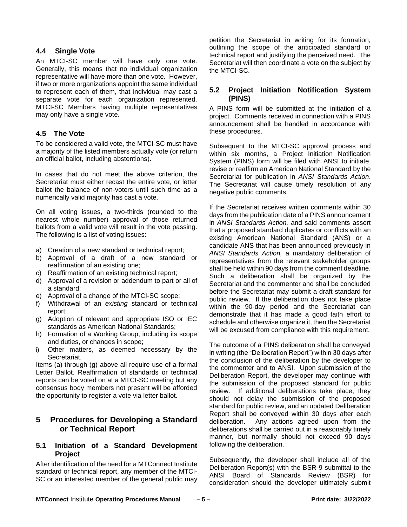#### <span id="page-8-0"></span>**4.4 Single Vote**

An MTCI-SC member will have only one vote. Generally, this means that no individual organization representative will have more than one vote. However, if two or more organizations appoint the same individual to represent each of them, that individual may cast a separate vote for each organization represented. MTCI-SC Members having multiple representatives may only have a single vote.

## <span id="page-8-1"></span>**4.5 The Vote**

To be considered a valid vote, the MTCI-SC must have a majority of the listed members actually vote (or return an official ballot, including abstentions).

In cases that do not meet the above criterion, the Secretariat must either recast the entire vote, or letter ballot the balance of non-voters until such time as a numerically valid majority has cast a vote.

On all voting issues, a two-thirds (rounded to the nearest whole number) approval of those returned ballots from a valid vote will result in the vote passing. The following is a list of voting issues:

- a) Creation of a new standard or technical report;
- b) Approval of a draft of a new standard or reaffirmation of an existing one;
- c) Reaffirmation of an existing technical report;
- d) Approval of a revision or addendum to part or all of a standard;
- e) Approval of a change of the MTCI-SC scope;
- f) Withdrawal of an *existing* standard or technical report;
- g) Adoption of relevant and appropriate ISO or IEC standards as American National Standards;
- h) Formation of a Working Group, including its scope and duties, or changes in scope;
- i) Other matters, as deemed necessary by the Secretariat.

Items (a) through (g) above all require use of a formal Letter Ballot. Reaffirmation of standards or technical reports can be voted on at a MTCI-SC meeting but any consensus body members not present will be afforded the opportunity to register a vote via letter ballot.

## <span id="page-8-2"></span>**5 Procedures for Developing a Standard or Technical Report**

## <span id="page-8-3"></span>**5.1 Initiation of a Standard Development Project**

After identification of the need for a MTConnect Institute standard or technical report, any member of the MTCI-SC or an interested member of the general public may petition the Secretariat in writing for its formation, outlining the scope of the anticipated standard or technical report and justifying the perceived need. The Secretariat will then coordinate a vote on the subject by the MTCI-SC.

## <span id="page-8-4"></span>**5.2 Project Initiation Notification System (PINS)**

A PINS form will be submitted at the initiation of a project. Comments received in connection with a PINS announcement shall be handled in accordance with these procedures.

Subsequent to the MTCI-SC approval process and within six months, a Project Initiation Notification System (PINS) form will be filed with ANSI to initiate, revise or reaffirm an American National Standard by the Secretariat for publication in *ANSI Standards Action*. The Secretariat will cause timely resolution of any negative public comments.

If the Secretariat receives written comments within 30 days from the publication date of a PINS announcement in *ANSI Standards Action,* and said comments assert that a proposed standard duplicates or conflicts with an existing American National Standard (ANS) or a candidate ANS that has been announced previously in *ANSI Standards Action,* a mandatory deliberation of representatives from the relevant stakeholder groups shall be held within 90 days from the comment deadline. Such a deliberation shall be organized by the Secretariat and the commenter and shall be concluded before the Secretariat may submit a draft standard for public review. If the deliberation does not take place within the 90-day period and the Secretariat can demonstrate that it has made a good faith effort to schedule and otherwise organize it, then the Secretariat will be excused from compliance with this requirement.

The outcome of a PINS deliberation shall be conveyed in writing (the "Deliberation Report") within 30 days after the conclusion of the deliberation by the developer to the commenter and to ANSI. Upon submission of the Deliberation Report, the developer may continue with the submission of the proposed standard for public review. If additional deliberations take place, they should not delay the submission of the proposed standard for public review, and an updated Deliberation Report shall be conveyed within 30 days after each deliberation. Any actions agreed upon from the deliberations shall be carried out in a reasonably timely manner, but normally should not exceed 90 days following the deliberation.

Subsequently, the developer shall include all of the Deliberation Report(s) with the BSR-9 submittal to the ANSI Board of Standards Review (BSR) for consideration should the developer ultimately submit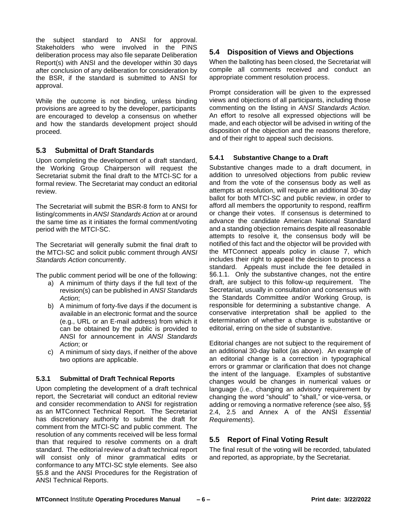the subject standard to ANSI for approval. Stakeholders who were involved in the PINS deliberation process may also file separate Deliberation Report(s) with ANSI and the developer within 30 days after conclusion of any deliberation for consideration by the BSR, if the standard is submitted to ANSI for approval.

While the outcome is not binding, unless binding provisions are agreed to by the developer, participants are encouraged to develop a consensus on whether and how the standards development project should proceed.

## <span id="page-9-0"></span>**5.3 Submittal of Draft Standards**

Upon completing the development of a draft standard, the Working Group Chairperson will request the Secretariat submit the final draft to the MTCI-SC for a formal review. The Secretariat may conduct an editorial review.

The Secretariat will submit the BSR-8 form to ANSI for listing/comments in *ANSI Standards Action* at or around the same time as it initiates the formal comment/voting period with the MTCI-SC.

The Secretariat will generally submit the final draft to the MTCI-SC and solicit public comment through *ANSI Standards Action* concurrently.

The public comment period will be one of the following:

- a) A minimum of thirty days if the full text of the revision(s) can be published in *ANSI Standards Action*;
- b) A minimum of forty-five days if the document is available in an electronic format and the source (e.g., URL or an E-mail address) from which it can be obtained by the public is provided to ANSI for announcement in *ANSI Standards Action*; or
- c) A minimum of sixty days, if neither of the above two options are applicable.

#### <span id="page-9-1"></span>**5.3.1 Submittal of Draft Technical Reports**

Upon completing the development of a draft technical report, the Secretariat will conduct an editorial review and consider recommendation to ANSI for registration as an MTConnect Technical Report. The Secretariat has discretionary authority to submit the draft for comment from the MTCI-SC and public comment. The resolution of any comments received will be less formal than that required to resolve comments on a draft standard. The editorial review of a draft technical report will consist only of minor grammatical edits or conformance to any MTCI-SC style elements. See also §5.8 and the ANSI Procedures for the Registration of ANSI Technical Reports.

## <span id="page-9-2"></span>**5.4 Disposition of Views and Objections**

When the balloting has been closed, the Secretariat will compile all comments received and conduct an appropriate comment resolution process.

Prompt consideration will be given to the expressed views and objections of all participants, including those commenting on the listing in *ANSI Standards Action.*  An effort to resolve all expressed objections will be made, and each objector will be advised in writing of the disposition of the objection and the reasons therefore, and of their right to appeal such decisions.

#### <span id="page-9-3"></span>**5.4.1 Substantive Change to a Draft**

Substantive changes made to a draft document, in addition to unresolved objections from public review and from the vote of the consensus body as well as attempts at resolution, will require an additional 30-day ballot for both MTCI-SC and public review, in order to afford all members the opportunity to respond, reaffirm or change their votes. If consensus is determined to advance the candidate American National Standard and a standing objection remains despite all reasonable attempts to resolve it, the consensus body will be notified of this fact and the objector will be provided with the MTConnect appeals policy in clause 7, which includes their right to appeal the decision to process a standard. Appeals must include the fee detailed in §6.1.1. Only the substantive changes, not the entire draft, are subject to this follow-up requirement. The Secretariat, usually in consultation and consensus with the Standards Committee and/or Working Group, is responsible for determining a substantive change. A conservative interpretation shall be applied to the determination of whether a change is substantive or editorial, erring on the side of substantive.

Editorial changes are not subject to the requirement of an additional 30-day ballot (as above). An example of an editorial change is a correction in typographical errors or grammar or clarification that does not change the intent of the language. Examples of substantive changes would be changes in numerical values or language (i.e., changing an advisory requirement by changing the word "should" to "shall," or vice-versa, or adding or removing a normative reference (see also, §§ 2.4, 2.5 and Annex A of the ANSI *Essential Requirements*).

## <span id="page-9-4"></span>**5.5 Report of Final Voting Result**

The final result of the voting will be recorded, tabulated and reported, as appropriate, by the Secretariat.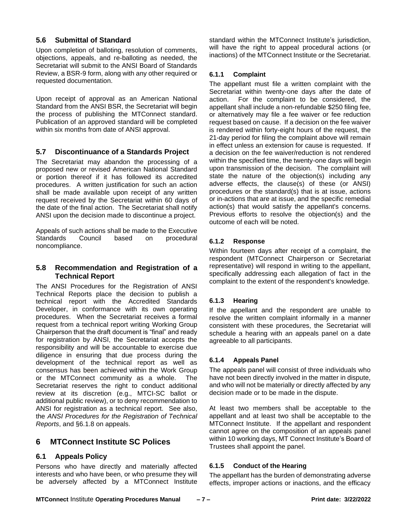## <span id="page-10-0"></span>**5.6 Submittal of Standard**

Upon completion of balloting, resolution of comments, objections, appeals, and re-balloting as needed, the Secretariat will submit to the ANSI Board of Standards Review, a BSR-9 form, along with any other required or requested documentation.

Upon receipt of approval as an American National Standard from the ANSI BSR, the Secretariat will begin the process of publishing the MTConnect standard. Publication of an approved standard will be completed within six months from date of ANSI approval.

## <span id="page-10-1"></span>**5.7 Discontinuance of a Standards Project**

The Secretariat may abandon the processing of a proposed new or revised American National Standard or portion thereof if it has followed its accredited procedures. A written justification for such an action shall be made available upon receipt of any written request received by the Secretariat within 60 days of the date of the final action. The Secretariat shall notify ANSI upon the decision made to discontinue a project.

Appeals of such actions shall be made to the Executive Standards Council based on procedural noncompliance.

## <span id="page-10-2"></span>**5.8 Recommendation and Registration of a Technical Report**

The ANSI Procedures for the Registration of ANSI Technical Reports place the decision to publish a technical report with the Accredited Standards Developer, in conformance with its own operating procedures. When the Secretariat receives a formal request from a technical report writing Working Group Chairperson that the draft document is "final" and ready for registration by ANSI, the Secretariat accepts the responsibility and will be accountable to exercise due diligence in ensuring that due process during the development of the technical report as well as consensus has been achieved within the Work Group or the MTConnect community as a whole. The Secretariat reserves the right to conduct additional review at its discretion (e.g., MTCI-SC ballot or additional public review), or to deny recommendation to ANSI for registration as a technical report. See also, the *ANSI Procedures for the Registration of Technical Reports*, and §6.1.8 on appeals.

## <span id="page-10-3"></span>**6 MTConnect Institute SC Polices**

## <span id="page-10-4"></span>**6.1 Appeals Policy**

Persons who have directly and materially affected interests and who have been, or who presume they will be adversely affected by a MTConnect Institute standard within the MTConnect Institute's jurisdiction, will have the right to appeal procedural actions (or inactions) of the MTConnect Institute or the Secretariat.

#### <span id="page-10-5"></span>**6.1.1 Complaint**

The appellant must file a written complaint with the Secretariat within twenty-one days after the date of action. For the complaint to be considered, the appellant shall include a non-refundable \$250 filing fee, or alternatively may file a fee waiver or fee reduction request based on cause. If a decision on the fee waiver is rendered within forty-eight hours of the request, the 21-day period for filing the complaint above will remain in effect unless an extension for cause is requested. If a decision on the fee waiver/reduction is not rendered within the specified time, the twenty-one days will begin upon transmission of the decision. The complaint will state the nature of the objection(s) including any adverse effects, the clause(s) of these (or ANSI) procedures or the standard(s) that is at issue, actions or in-actions that are at issue, and the specific remedial action(s) that would satisfy the appellant's concerns. Previous efforts to resolve the objection(s) and the outcome of each will be noted.

## <span id="page-10-6"></span>**6.1.2 Response**

Within fourteen days after receipt of a complaint, the respondent (MTConnect Chairperson or Secretariat representative) will respond in writing to the appellant, specifically addressing each allegation of fact in the complaint to the extent of the respondent's knowledge.

#### <span id="page-10-7"></span>**6.1.3 Hearing**

If the appellant and the respondent are unable to resolve the written complaint informally in a manner consistent with these procedures, the Secretariat will schedule a hearing with an appeals panel on a date agreeable to all participants.

#### <span id="page-10-8"></span>**6.1.4 Appeals Panel**

The appeals panel will consist of three individuals who have not been directly involved in the matter in dispute, and who will not be materially or directly affected by any decision made or to be made in the dispute.

At least two members shall be acceptable to the appellant and at least two shall be acceptable to the MTConnect Institute. If the appellant and respondent cannot agree on the composition of an appeals panel within 10 working days, MT Connect Institute's Board of Trustees shall appoint the panel.

#### <span id="page-10-9"></span>**6.1.5 Conduct of the Hearing**

The appellant has the burden of demonstrating adverse effects, improper actions or inactions, and the efficacy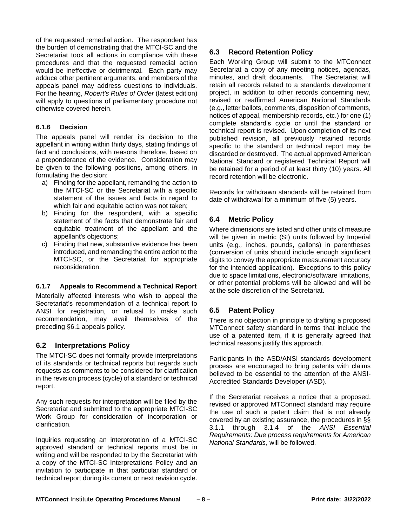of the requested remedial action. The respondent has the burden of demonstrating that the MTCI-SC and the Secretariat took all actions in compliance with these procedures and that the requested remedial action would be ineffective or detrimental. Each party may adduce other pertinent arguments, and members of the appeals panel may address questions to individuals. For the hearing, *Robert's Rules of Order* (latest edition) will apply to questions of parliamentary procedure not otherwise covered herein.

#### <span id="page-11-0"></span>**6.1.6 Decision**

The appeals panel will render its decision to the appellant in writing within thirty days, stating findings of fact and conclusions, with reasons therefore, based on a preponderance of the evidence. Consideration may be given to the following positions, among others, in formulating the decision:

- a) Finding for the appellant, remanding the action to the MTCI-SC or the Secretariat with a specific statement of the issues and facts in regard to which fair and equitable action was not taken;
- b) Finding for the respondent, with a specific statement of the facts that demonstrate fair and equitable treatment of the appellant and the appellant's objections;
- c) Finding that new, substantive evidence has been introduced, and remanding the entire action to the MTCI-SC, or the Secretariat for appropriate reconsideration.

#### <span id="page-11-1"></span>**6.1.7 Appeals to Recommend a Technical Report**

Materially affected interests who wish to appeal the Secretariat's recommendation of a technical report to ANSI for registration, or refusal to make such recommendation, may avail themselves of the preceding §6.1 appeals policy.

## <span id="page-11-2"></span>**6.2 Interpretations Policy**

The MTCI-SC does not formally provide interpretations of its standards or technical reports but regards such requests as comments to be considered for clarification in the revision process (cycle) of a standard or technical report.

Any such requests for interpretation will be filed by the Secretariat and submitted to the appropriate MTCI-SC Work Group for consideration of incorporation or clarification.

Inquiries requesting an interpretation of a MTCI-SC approved standard or technical reports must be in writing and will be responded to by the Secretariat with a copy of the MTCI-SC Interpretations Policy and an invitation to participate in that particular standard or technical report during its current or next revision cycle.

## <span id="page-11-3"></span>**6.3 Record Retention Policy**

Each Working Group will submit to the MTConnect Secretariat a copy of any meeting notices, agendas, minutes, and draft documents. The Secretariat will retain all records related to a standards development project, in addition to other records concerning new, revised or reaffirmed American National Standards (e.g., letter ballots, comments, disposition of comments, notices of appeal, membership records, etc.) for one (1) complete standard's cycle or until the standard or technical report is revised. Upon completion of its next published revision, all previously retained records specific to the standard or technical report may be discarded or destroyed. The actual approved American National Standard or registered Technical Report will be retained for a period of at least thirty (10) years. All record retention will be electronic.

Records for withdrawn standards will be retained from date of withdrawal for a minimum of five (5) years.

## <span id="page-11-4"></span>**6.4 Metric Policy**

Where dimensions are listed and other units of measure will be given in metric (SI) units followed by Imperial units (e.g*.,* inches, pounds, gallons) in parentheses (conversion of units should include enough significant digits to convey the appropriate measurement accuracy for the intended application). Exceptions to this policy due to space limitations, electronic/software limitations, or other potential problems will be allowed and will be at the sole discretion of the Secretariat.

#### <span id="page-11-5"></span>**6.5 Patent Policy**

There is no objection in principle to drafting a proposed MTConnect safety standard in terms that include the use of a patented item, if it is generally agreed that technical reasons justify this approach.

Participants in the ASD/ANSI standards development process are encouraged to bring patents with claims believed to be essential to the attention of the ANSI-Accredited Standards Developer (ASD).

If the Secretariat receives a notice that a proposed, revised or approved MTConnect standard may require the use of such a patent claim that is not already covered by an existing assurance, the procedures in §§ 3.1.1 through 3.1.4 of the *ANSI Essential Requirements: Due process requirements for American National Standards*, will be followed.